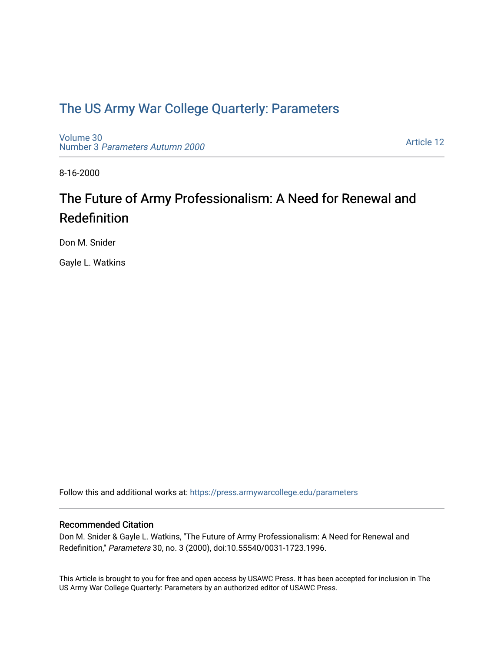### [The US Army War College Quarterly: Parameters](https://press.armywarcollege.edu/parameters)

[Volume 30](https://press.armywarcollege.edu/parameters/vol30) Number 3 [Parameters Autumn 2000](https://press.armywarcollege.edu/parameters/vol30/iss3)

[Article 12](https://press.armywarcollege.edu/parameters/vol30/iss3/12) 

8-16-2000

# The Future of Army Professionalism: A Need for Renewal and Redefinition

Don M. Snider

Gayle L. Watkins

Follow this and additional works at: [https://press.armywarcollege.edu/parameters](https://press.armywarcollege.edu/parameters?utm_source=press.armywarcollege.edu%2Fparameters%2Fvol30%2Fiss3%2F12&utm_medium=PDF&utm_campaign=PDFCoverPages) 

#### Recommended Citation

Don M. Snider & Gayle L. Watkins, "The Future of Army Professionalism: A Need for Renewal and Redefinition," Parameters 30, no. 3 (2000), doi:10.55540/0031-1723.1996.

This Article is brought to you for free and open access by USAWC Press. It has been accepted for inclusion in The US Army War College Quarterly: Parameters by an authorized editor of USAWC Press.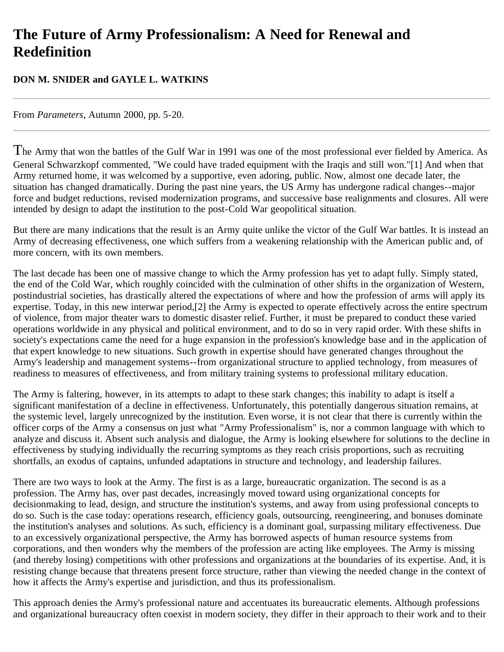## **The Future of Army Professionalism: A Need for Renewal and Redefinition**

#### **DON M. SNIDER and GAYLE L. WATKINS**

From *Parameters*, Autumn 2000, pp. 5-20.

The Army that won the battles of the Gulf War in 1991 was one of the most professional ever fielded by America. As General Schwarzkopf commented, "We could have traded equipment with the Iraqis and still won."[1] And when that Army returned home, it was welcomed by a supportive, even adoring, public. Now, almost one decade later, the situation has changed dramatically. During the past nine years, the US Army has undergone radical changes--major force and budget reductions, revised modernization programs, and successive base realignments and closures. All were intended by design to adapt the institution to the post-Cold War geopolitical situation.

But there are many indications that the result is an Army quite unlike the victor of the Gulf War battles. It is instead an Army of decreasing effectiveness, one which suffers from a weakening relationship with the American public and, of more concern, with its own members.

The last decade has been one of massive change to which the Army profession has yet to adapt fully. Simply stated, the end of the Cold War, which roughly coincided with the culmination of other shifts in the organization of Western, postindustrial societies, has drastically altered the expectations of where and how the profession of arms will apply its expertise. Today, in this new interwar period,[2] the Army is expected to operate effectively across the entire spectrum of violence, from major theater wars to domestic disaster relief. Further, it must be prepared to conduct these varied operations worldwide in any physical and political environment, and to do so in very rapid order. With these shifts in society's expectations came the need for a huge expansion in the profession's knowledge base and in the application of that expert knowledge to new situations. Such growth in expertise should have generated changes throughout the Army's leadership and management systems--from organizational structure to applied technology, from measures of readiness to measures of effectiveness, and from military training systems to professional military education.

The Army is faltering, however, in its attempts to adapt to these stark changes; this inability to adapt is itself a significant manifestation of a decline in effectiveness. Unfortunately, this potentially dangerous situation remains, at the systemic level, largely unrecognized by the institution. Even worse, it is not clear that there is currently within the officer corps of the Army a consensus on just what "Army Professionalism" is, nor a common language with which to analyze and discuss it. Absent such analysis and dialogue, the Army is looking elsewhere for solutions to the decline in effectiveness by studying individually the recurring symptoms as they reach crisis proportions, such as recruiting shortfalls, an exodus of captains, unfunded adaptations in structure and technology, and leadership failures.

There are two ways to look at the Army. The first is as a large, bureaucratic organization. The second is as a profession. The Army has, over past decades, increasingly moved toward using organizational concepts for decisionmaking to lead, design, and structure the institution's systems, and away from using professional concepts to do so. Such is the case today: operations research, efficiency goals, outsourcing, reengineering, and bonuses dominate the institution's analyses and solutions. As such, efficiency is a dominant goal, surpassing military effectiveness. Due to an excessively organizational perspective, the Army has borrowed aspects of human resource systems from corporations, and then wonders why the members of the profession are acting like employees. The Army is missing (and thereby losing) competitions with other professions and organizations at the boundaries of its expertise. And, it is resisting change because that threatens present force structure, rather than viewing the needed change in the context of how it affects the Army's expertise and jurisdiction, and thus its professionalism.

This approach denies the Army's professional nature and accentuates its bureaucratic elements. Although professions and organizational bureaucracy often coexist in modern society, they differ in their approach to their work and to their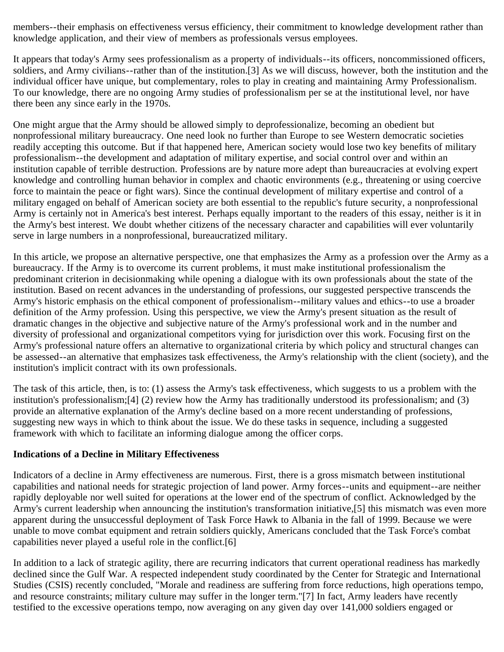members--their emphasis on effectiveness versus efficiency, their commitment to knowledge development rather than knowledge application, and their view of members as professionals versus employees.

It appears that today's Army sees professionalism as a property of individuals--its officers, noncommissioned officers, soldiers, and Army civilians--rather than of the institution.[3] As we will discuss, however, both the institution and the individual officer have unique, but complementary, roles to play in creating and maintaining Army Professionalism. To our knowledge, there are no ongoing Army studies of professionalism per se at the institutional level, nor have there been any since early in the 1970s.

One might argue that the Army should be allowed simply to deprofessionalize, becoming an obedient but nonprofessional military bureaucracy. One need look no further than Europe to see Western democratic societies readily accepting this outcome. But if that happened here, American society would lose two key benefits of military professionalism--the development and adaptation of military expertise, and social control over and within an institution capable of terrible destruction. Professions are by nature more adept than bureaucracies at evolving expert knowledge and controlling human behavior in complex and chaotic environments (e.g., threatening or using coercive force to maintain the peace or fight wars). Since the continual development of military expertise and control of a military engaged on behalf of American society are both essential to the republic's future security, a nonprofessional Army is certainly not in America's best interest. Perhaps equally important to the readers of this essay, neither is it in the Army's best interest. We doubt whether citizens of the necessary character and capabilities will ever voluntarily serve in large numbers in a nonprofessional, bureaucratized military.

In this article, we propose an alternative perspective, one that emphasizes the Army as a profession over the Army as a bureaucracy. If the Army is to overcome its current problems, it must make institutional professionalism the predominant criterion in decisionmaking while opening a dialogue with its own professionals about the state of the institution. Based on recent advances in the understanding of professions, our suggested perspective transcends the Army's historic emphasis on the ethical component of professionalism--military values and ethics--to use a broader definition of the Army profession. Using this perspective, we view the Army's present situation as the result of dramatic changes in the objective and subjective nature of the Army's professional work and in the number and diversity of professional and organizational competitors vying for jurisdiction over this work. Focusing first on the Army's professional nature offers an alternative to organizational criteria by which policy and structural changes can be assessed--an alternative that emphasizes task effectiveness, the Army's relationship with the client (society), and the institution's implicit contract with its own professionals.

The task of this article, then, is to: (1) assess the Army's task effectiveness, which suggests to us a problem with the institution's professionalism;[4] (2) review how the Army has traditionally understood its professionalism; and (3) provide an alternative explanation of the Army's decline based on a more recent understanding of professions, suggesting new ways in which to think about the issue. We do these tasks in sequence, including a suggested framework with which to facilitate an informing dialogue among the officer corps.

#### **Indications of a Decline in Military Effectiveness**

Indicators of a decline in Army effectiveness are numerous. First, there is a gross mismatch between institutional capabilities and national needs for strategic projection of land power. Army forces--units and equipment--are neither rapidly deployable nor well suited for operations at the lower end of the spectrum of conflict. Acknowledged by the Army's current leadership when announcing the institution's transformation initiative,[5] this mismatch was even more apparent during the unsuccessful deployment of Task Force Hawk to Albania in the fall of 1999. Because we were unable to move combat equipment and retrain soldiers quickly, Americans concluded that the Task Force's combat capabilities never played a useful role in the conflict.[6]

In addition to a lack of strategic agility, there are recurring indicators that current operational readiness has markedly declined since the Gulf War. A respected independent study coordinated by the Center for Strategic and International Studies (CSIS) recently concluded, "Morale and readiness are suffering from force reductions, high operations tempo, and resource constraints; military culture may suffer in the longer term."[7] In fact, Army leaders have recently testified to the excessive operations tempo, now averaging on any given day over 141,000 soldiers engaged or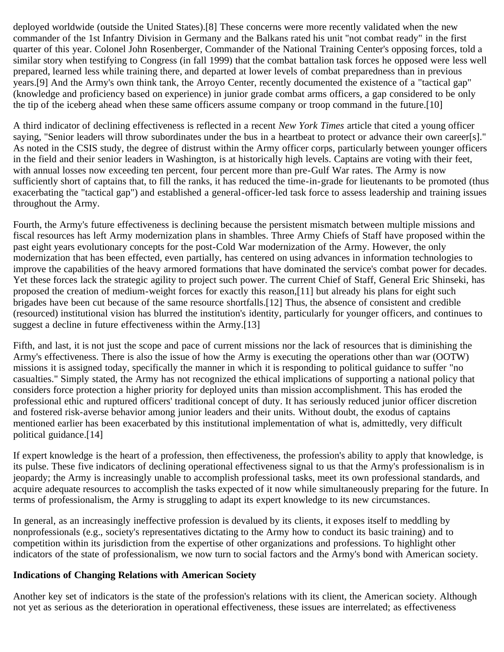deployed worldwide (outside the United States).[8] These concerns were more recently validated when the new commander of the 1st Infantry Division in Germany and the Balkans rated his unit "not combat ready" in the first quarter of this year. Colonel John Rosenberger, Commander of the National Training Center's opposing forces, told a similar story when testifying to Congress (in fall 1999) that the combat battalion task forces he opposed were less well prepared, learned less while training there, and departed at lower levels of combat preparedness than in previous years.[9] And the Army's own think tank, the Arroyo Center, recently documented the existence of a "tactical gap" (knowledge and proficiency based on experience) in junior grade combat arms officers, a gap considered to be only the tip of the iceberg ahead when these same officers assume company or troop command in the future.[10]

A third indicator of declining effectiveness is reflected in a recent *New York Times* article that cited a young officer saying, "Senior leaders will throw subordinates under the bus in a heartbeat to protect or advance their own career[s]." As noted in the CSIS study, the degree of distrust within the Army officer corps, particularly between younger officers in the field and their senior leaders in Washington, is at historically high levels. Captains are voting with their feet, with annual losses now exceeding ten percent, four percent more than pre-Gulf War rates. The Army is now sufficiently short of captains that, to fill the ranks, it has reduced the time-in-grade for lieutenants to be promoted (thus exacerbating the "tactical gap") and established a general-officer-led task force to assess leadership and training issues throughout the Army.

Fourth, the Army's future effectiveness is declining because the persistent mismatch between multiple missions and fiscal resources has left Army modernization plans in shambles. Three Army Chiefs of Staff have proposed within the past eight years evolutionary concepts for the post-Cold War modernization of the Army. However, the only modernization that has been effected, even partially, has centered on using advances in information technologies to improve the capabilities of the heavy armored formations that have dominated the service's combat power for decades. Yet these forces lack the strategic agility to project such power. The current Chief of Staff, General Eric Shinseki, has proposed the creation of medium-weight forces for exactly this reason,[11] but already his plans for eight such brigades have been cut because of the same resource shortfalls.[12] Thus, the absence of consistent and credible (resourced) institutional vision has blurred the institution's identity, particularly for younger officers, and continues to suggest a decline in future effectiveness within the Army.[13]

Fifth, and last, it is not just the scope and pace of current missions nor the lack of resources that is diminishing the Army's effectiveness. There is also the issue of how the Army is executing the operations other than war (OOTW) missions it is assigned today, specifically the manner in which it is responding to political guidance to suffer "no casualties." Simply stated, the Army has not recognized the ethical implications of supporting a national policy that considers force protection a higher priority for deployed units than mission accomplishment. This has eroded the professional ethic and ruptured officers' traditional concept of duty. It has seriously reduced junior officer discretion and fostered risk-averse behavior among junior leaders and their units. Without doubt, the exodus of captains mentioned earlier has been exacerbated by this institutional implementation of what is, admittedly, very difficult political guidance.[14]

If expert knowledge is the heart of a profession, then effectiveness, the profession's ability to apply that knowledge, is its pulse. These five indicators of declining operational effectiveness signal to us that the Army's professionalism is in jeopardy; the Army is increasingly unable to accomplish professional tasks, meet its own professional standards, and acquire adequate resources to accomplish the tasks expected of it now while simultaneously preparing for the future. In terms of professionalism, the Army is struggling to adapt its expert knowledge to its new circumstances.

In general, as an increasingly ineffective profession is devalued by its clients, it exposes itself to meddling by nonprofessionals (e.g., society's representatives dictating to the Army how to conduct its basic training) and to competition within its jurisdiction from the expertise of other organizations and professions. To highlight other indicators of the state of professionalism, we now turn to social factors and the Army's bond with American society.

#### **Indications of Changing Relations with American Society**

Another key set of indicators is the state of the profession's relations with its client, the American society. Although not yet as serious as the deterioration in operational effectiveness, these issues are interrelated; as effectiveness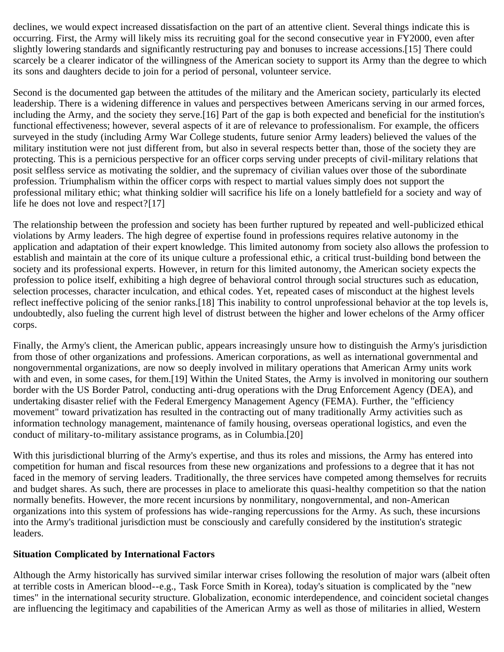declines, we would expect increased dissatisfaction on the part of an attentive client. Several things indicate this is occurring. First, the Army will likely miss its recruiting goal for the second consecutive year in FY2000, even after slightly lowering standards and significantly restructuring pay and bonuses to increase accessions.[15] There could scarcely be a clearer indicator of the willingness of the American society to support its Army than the degree to which its sons and daughters decide to join for a period of personal, volunteer service.

Second is the documented gap between the attitudes of the military and the American society, particularly its elected leadership. There is a widening difference in values and perspectives between Americans serving in our armed forces, including the Army, and the society they serve.[16] Part of the gap is both expected and beneficial for the institution's functional effectiveness; however, several aspects of it are of relevance to professionalism. For example, the officers surveyed in the study (including Army War College students, future senior Army leaders) believed the values of the military institution were not just different from, but also in several respects better than, those of the society they are protecting. This is a pernicious perspective for an officer corps serving under precepts of civil-military relations that posit selfless service as motivating the soldier, and the supremacy of civilian values over those of the subordinate profession. Triumphalism within the officer corps with respect to martial values simply does not support the professional military ethic; what thinking soldier will sacrifice his life on a lonely battlefield for a society and way of life he does not love and respect?[17]

The relationship between the profession and society has been further ruptured by repeated and well-publicized ethical violations by Army leaders. The high degree of expertise found in professions requires relative autonomy in the application and adaptation of their expert knowledge. This limited autonomy from society also allows the profession to establish and maintain at the core of its unique culture a professional ethic, a critical trust-building bond between the society and its professional experts. However, in return for this limited autonomy, the American society expects the profession to police itself, exhibiting a high degree of behavioral control through social structures such as education, selection processes, character inculcation, and ethical codes. Yet, repeated cases of misconduct at the highest levels reflect ineffective policing of the senior ranks.[18] This inability to control unprofessional behavior at the top levels is, undoubtedly, also fueling the current high level of distrust between the higher and lower echelons of the Army officer corps.

Finally, the Army's client, the American public, appears increasingly unsure how to distinguish the Army's jurisdiction from those of other organizations and professions. American corporations, as well as international governmental and nongovernmental organizations, are now so deeply involved in military operations that American Army units work with and even, in some cases, for them.[19] Within the United States, the Army is involved in monitoring our southern border with the US Border Patrol, conducting anti-drug operations with the Drug Enforcement Agency (DEA), and undertaking disaster relief with the Federal Emergency Management Agency (FEMA). Further, the "efficiency movement" toward privatization has resulted in the contracting out of many traditionally Army activities such as information technology management, maintenance of family housing, overseas operational logistics, and even the conduct of military-to-military assistance programs, as in Columbia.[20]

With this jurisdictional blurring of the Army's expertise, and thus its roles and missions, the Army has entered into competition for human and fiscal resources from these new organizations and professions to a degree that it has not faced in the memory of serving leaders. Traditionally, the three services have competed among themselves for recruits and budget shares. As such, there are processes in place to ameliorate this quasi-healthy competition so that the nation normally benefits. However, the more recent incursions by nonmilitary, nongovernmental, and non-American organizations into this system of professions has wide-ranging repercussions for the Army. As such, these incursions into the Army's traditional jurisdiction must be consciously and carefully considered by the institution's strategic leaders.

#### **Situation Complicated by International Factors**

Although the Army historically has survived similar interwar crises following the resolution of major wars (albeit often at terrible costs in American blood--e.g., Task Force Smith in Korea), today's situation is complicated by the "new times" in the international security structure. Globalization, economic interdependence, and coincident societal changes are influencing the legitimacy and capabilities of the American Army as well as those of militaries in allied, Western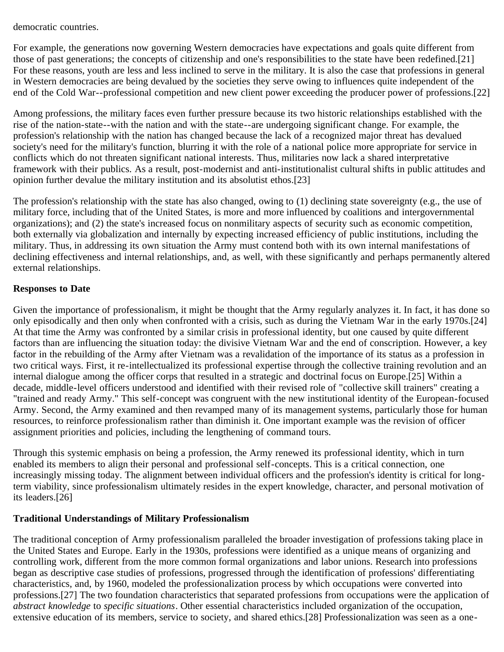democratic countries.

For example, the generations now governing Western democracies have expectations and goals quite different from those of past generations; the concepts of citizenship and one's responsibilities to the state have been redefined.[21] For these reasons, youth are less and less inclined to serve in the military. It is also the case that professions in general in Western democracies are being devalued by the societies they serve owing to influences quite independent of the end of the Cold War--professional competition and new client power exceeding the producer power of professions.[22]

Among professions, the military faces even further pressure because its two historic relationships established with the rise of the nation-state--with the nation and with the state--are undergoing significant change. For example, the profession's relationship with the nation has changed because the lack of a recognized major threat has devalued society's need for the military's function, blurring it with the role of a national police more appropriate for service in conflicts which do not threaten significant national interests. Thus, militaries now lack a shared interpretative framework with their publics. As a result, post-modernist and anti-institutionalist cultural shifts in public attitudes and opinion further devalue the military institution and its absolutist ethos.[23]

The profession's relationship with the state has also changed, owing to (1) declining state sovereignty (e.g., the use of military force, including that of the United States, is more and more influenced by coalitions and intergovernmental organizations); and (2) the state's increased focus on nonmilitary aspects of security such as economic competition, both externally via globalization and internally by expecting increased efficiency of public institutions, including the military. Thus, in addressing its own situation the Army must contend both with its own internal manifestations of declining effectiveness and internal relationships, and, as well, with these significantly and perhaps permanently altered external relationships.

#### **Responses to Date**

Given the importance of professionalism, it might be thought that the Army regularly analyzes it. In fact, it has done so only episodically and then only when confronted with a crisis, such as during the Vietnam War in the early 1970s.[24] At that time the Army was confronted by a similar crisis in professional identity, but one caused by quite different factors than are influencing the situation today: the divisive Vietnam War and the end of conscription. However, a key factor in the rebuilding of the Army after Vietnam was a revalidation of the importance of its status as a profession in two critical ways. First, it re-intellectualized its professional expertise through the collective training revolution and an internal dialogue among the officer corps that resulted in a strategic and doctrinal focus on Europe.[25] Within a decade, middle-level officers understood and identified with their revised role of "collective skill trainers" creating a "trained and ready Army." This self-concept was congruent with the new institutional identity of the European-focused Army. Second, the Army examined and then revamped many of its management systems, particularly those for human resources, to reinforce professionalism rather than diminish it. One important example was the revision of officer assignment priorities and policies, including the lengthening of command tours.

Through this systemic emphasis on being a profession, the Army renewed its professional identity, which in turn enabled its members to align their personal and professional self-concepts. This is a critical connection, one increasingly missing today. The alignment between individual officers and the profession's identity is critical for longterm viability, since professionalism ultimately resides in the expert knowledge, character, and personal motivation of its leaders.[26]

#### **Traditional Understandings of Military Professionalism**

The traditional conception of Army professionalism paralleled the broader investigation of professions taking place in the United States and Europe. Early in the 1930s, professions were identified as a unique means of organizing and controlling work, different from the more common formal organizations and labor unions. Research into professions began as descriptive case studies of professions, progressed through the identification of professions' differentiating characteristics, and, by 1960, modeled the professionalization process by which occupations were converted into professions.[27] The two foundation characteristics that separated professions from occupations were the application of *abstract knowledge* to *specific situations*. Other essential characteristics included organization of the occupation, extensive education of its members, service to society, and shared ethics.[28] Professionalization was seen as a one-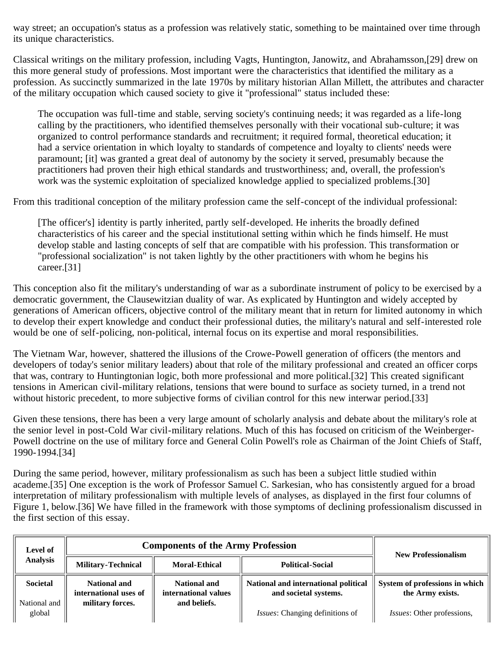way street; an occupation's status as a profession was relatively static, something to be maintained over time through its unique characteristics.

Classical writings on the military profession, including Vagts, Huntington, Janowitz, and Abrahamsson,[29] drew on this more general study of professions. Most important were the characteristics that identified the military as a profession. As succinctly summarized in the late 1970s by military historian Allan Millett, the attributes and character of the military occupation which caused society to give it "professional" status included these:

The occupation was full-time and stable, serving society's continuing needs; it was regarded as a life-long calling by the practitioners, who identified themselves personally with their vocational sub-culture; it was organized to control performance standards and recruitment; it required formal, theoretical education; it had a service orientation in which loyalty to standards of competence and loyalty to clients' needs were paramount; [it] was granted a great deal of autonomy by the society it served, presumably because the practitioners had proven their high ethical standards and trustworthiness; and, overall, the profession's work was the systemic exploitation of specialized knowledge applied to specialized problems.[30]

From this traditional conception of the military profession came the self-concept of the individual professional:

[The officer's] identity is partly inherited, partly self-developed. He inherits the broadly defined characteristics of his career and the special institutional setting within which he finds himself. He must develop stable and lasting concepts of self that are compatible with his profession. This transformation or "professional socialization" is not taken lightly by the other practitioners with whom he begins his career.[31]

This conception also fit the military's understanding of war as a subordinate instrument of policy to be exercised by a democratic government, the Clausewitzian duality of war. As explicated by Huntington and widely accepted by generations of American officers, objective control of the military meant that in return for limited autonomy in which to develop their expert knowledge and conduct their professional duties, the military's natural and self-interested role would be one of self-policing, non-political, internal focus on its expertise and moral responsibilities.

The Vietnam War, however, shattered the illusions of the Crowe-Powell generation of officers (the mentors and developers of today's senior military leaders) about that role of the military professional and created an officer corps that was, contrary to Huntingtonian logic, both more professional and more political.[32] This created significant tensions in American civil-military relations, tensions that were bound to surface as society turned, in a trend not without historic precedent, to more subjective forms of civilian control for this new interwar period.[33]

Given these tensions, there has been a very large amount of scholarly analysis and debate about the military's role at the senior level in post-Cold War civil-military relations. Much of this has focused on criticism of the Weinberger-Powell doctrine on the use of military force and General Colin Powell's role as Chairman of the Joint Chiefs of Staff, 1990-1994.[34]

During the same period, however, military professionalism as such has been a subject little studied within academe.[35] One exception is the work of Professor Samuel C. Sarkesian, who has consistently argued for a broad interpretation of military professionalism with multiple levels of analyses, as displayed in the first four columns of Figure 1, below.[36] We have filled in the framework with those symptoms of declining professionalism discussed in the first section of this essay.

| Level of                 | <b>Components of the Army Profession</b>                         |                                                             |                                                               | <b>New Professionalism</b>                         |
|--------------------------|------------------------------------------------------------------|-------------------------------------------------------------|---------------------------------------------------------------|----------------------------------------------------|
| <b>Analysis</b>          | <b>Military-Technical</b>                                        | <b>Moral-Ethical</b>                                        | <b>Political-Social</b>                                       |                                                    |
| Societal<br>National and | <b>National and</b><br>international uses of<br>military forces. | <b>National and</b><br>international values<br>and beliefs. | National and international political<br>and societal systems. | System of professions in which<br>the Army exists. |
| global                   |                                                                  |                                                             | Issues: Changing definitions of                               | <i>Issues:</i> Other professions,                  |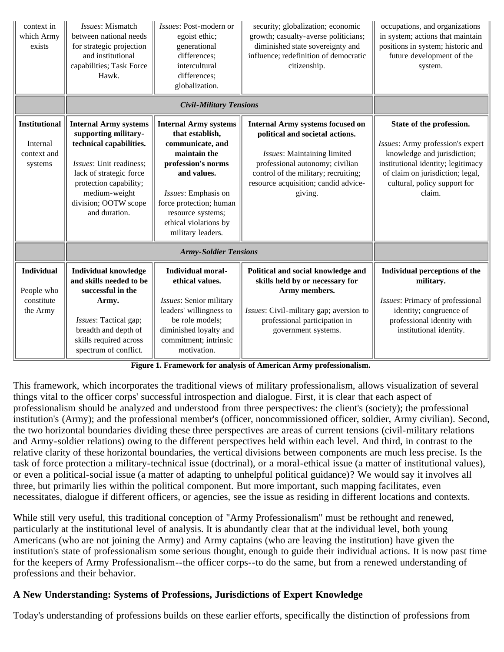| context in<br>which Army<br>exists                         | Issues: Mismatch<br>between national needs<br>for strategic projection<br>and institutional<br>capabilities; Task Force<br>Hawk.                                                                                          | Issues: Post-modern or<br>egoist ethic;<br>generational<br>differences;<br>intercultural<br>differences;<br>globalization.                                                                                                                    | security; globalization; economic<br>growth; casualty-averse politicians;<br>diminished state sovereignty and<br>influence; redefinition of democratic<br>citizenship.                                                                  | occupations, and organizations<br>in system; actions that maintain<br>positions in system; historic and<br>future development of the<br>system.                                                                 |
|------------------------------------------------------------|---------------------------------------------------------------------------------------------------------------------------------------------------------------------------------------------------------------------------|-----------------------------------------------------------------------------------------------------------------------------------------------------------------------------------------------------------------------------------------------|-----------------------------------------------------------------------------------------------------------------------------------------------------------------------------------------------------------------------------------------|-----------------------------------------------------------------------------------------------------------------------------------------------------------------------------------------------------------------|
|                                                            |                                                                                                                                                                                                                           |                                                                                                                                                                                                                                               |                                                                                                                                                                                                                                         |                                                                                                                                                                                                                 |
| <b>Institutional</b><br>Internal<br>context and<br>systems | <b>Internal Army systems</b><br>supporting military-<br>technical capabilities.<br>Issues: Unit readiness;<br>lack of strategic force<br>protection capability;<br>medium-weight<br>division; OOTW scope<br>and duration. | <b>Internal Army systems</b><br>that establish,<br>communicate, and<br>maintain the<br>profession's norms<br>and values.<br>Issues: Emphasis on<br>force protection; human<br>resource systems;<br>ethical violations by<br>military leaders. | <b>Internal Army systems focused on</b><br>political and societal actions.<br>Issues: Maintaining limited<br>professional autonomy; civilian<br>control of the military; recruiting;<br>resource acquisition; candid advice-<br>giving. | State of the profession.<br>Issues: Army profession's expert<br>knowledge and jurisdiction;<br>institutional identity; legitimacy<br>of claim on jurisdiction; legal,<br>cultural, policy support for<br>claim. |
|                                                            |                                                                                                                                                                                                                           |                                                                                                                                                                                                                                               |                                                                                                                                                                                                                                         |                                                                                                                                                                                                                 |
| <b>Individual</b><br>People who<br>constitute<br>the Army  | <b>Individual knowledge</b><br>and skills needed to be<br>successful in the<br>Army.<br>Issues: Tactical gap;<br>breadth and depth of<br>skills required across<br>spectrum of conflict.                                  | <b>Individual moral-</b><br>ethical values.<br>Issues: Senior military<br>leaders' willingness to<br>be role models;<br>diminished loyalty and<br>commitment; intrinsic<br>motivation.                                                        | Political and social knowledge and<br>skills held by or necessary for<br>Army members.<br>Issues: Civil-military gap; aversion to<br>professional participation in<br>government systems.                                               | Individual perceptions of the<br>military.<br>Issues: Primacy of professional<br>identity; congruence of<br>professional identity with<br>institutional identity.                                               |

**Figure 1. Framework for analysis of American Army professionalism.**

This framework, which incorporates the traditional views of military professionalism, allows visualization of several things vital to the officer corps' successful introspection and dialogue. First, it is clear that each aspect of professionalism should be analyzed and understood from three perspectives: the client's (society); the professional institution's (Army); and the professional member's (officer, noncommissioned officer, soldier, Army civilian). Second, the two horizontal boundaries dividing these three perspectives are areas of current tensions (civil-military relations and Army-soldier relations) owing to the different perspectives held within each level. And third, in contrast to the relative clarity of these horizontal boundaries, the vertical divisions between components are much less precise. Is the task of force protection a military-technical issue (doctrinal), or a moral-ethical issue (a matter of institutional values), or even a political-social issue (a matter of adapting to unhelpful political guidance)? We would say it involves all three, but primarily lies within the political component. But more important, such mapping facilitates, even necessitates, dialogue if different officers, or agencies, see the issue as residing in different locations and contexts.

While still very useful, this traditional conception of "Army Professionalism" must be rethought and renewed, particularly at the institutional level of analysis. It is abundantly clear that at the individual level, both young Americans (who are not joining the Army) and Army captains (who are leaving the institution) have given the institution's state of professionalism some serious thought, enough to guide their individual actions. It is now past time for the keepers of Army Professionalism--the officer corps--to do the same, but from a renewed understanding of professions and their behavior.

### **A New Understanding: Systems of Professions, Jurisdictions of Expert Knowledge**

Today's understanding of professions builds on these earlier efforts, specifically the distinction of professions from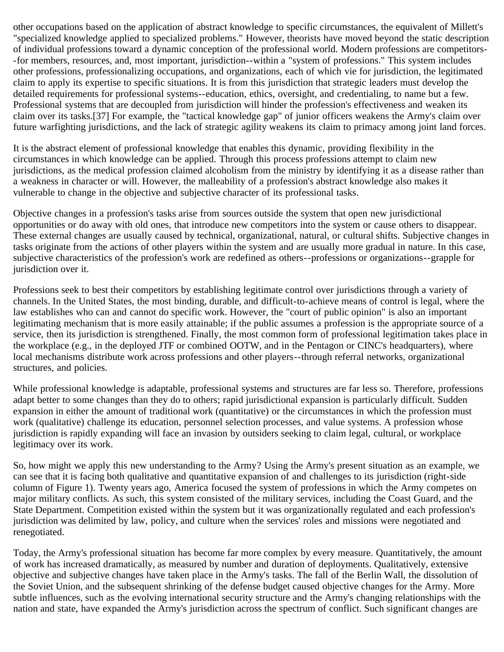other occupations based on the application of abstract knowledge to specific circumstances, the equivalent of Millett's "specialized knowledge applied to specialized problems." However, theorists have moved beyond the static description of individual professions toward a dynamic conception of the professional world. Modern professions are competitors- -for members, resources, and, most important, jurisdiction--within a "system of professions." This system includes other professions, professionalizing occupations, and organizations, each of which vie for jurisdiction, the legitimated claim to apply its expertise to specific situations. It is from this jurisdiction that strategic leaders must develop the detailed requirements for professional systems--education, ethics, oversight, and credentialing, to name but a few. Professional systems that are decoupled from jurisdiction will hinder the profession's effectiveness and weaken its claim over its tasks.[37] For example, the "tactical knowledge gap" of junior officers weakens the Army's claim over future warfighting jurisdictions, and the lack of strategic agility weakens its claim to primacy among joint land forces.

It is the abstract element of professional knowledge that enables this dynamic, providing flexibility in the circumstances in which knowledge can be applied. Through this process professions attempt to claim new jurisdictions, as the medical profession claimed alcoholism from the ministry by identifying it as a disease rather than a weakness in character or will. However, the malleability of a profession's abstract knowledge also makes it vulnerable to change in the objective and subjective character of its professional tasks.

Objective changes in a profession's tasks arise from sources outside the system that open new jurisdictional opportunities or do away with old ones, that introduce new competitors into the system or cause others to disappear. These external changes are usually caused by technical, organizational, natural, or cultural shifts. Subjective changes in tasks originate from the actions of other players within the system and are usually more gradual in nature. In this case, subjective characteristics of the profession's work are redefined as others--professions or organizations--grapple for jurisdiction over it.

Professions seek to best their competitors by establishing legitimate control over jurisdictions through a variety of channels. In the United States, the most binding, durable, and difficult-to-achieve means of control is legal, where the law establishes who can and cannot do specific work. However, the "court of public opinion" is also an important legitimating mechanism that is more easily attainable; if the public assumes a profession is the appropriate source of a service, then its jurisdiction is strengthened. Finally, the most common form of professional legitimation takes place in the workplace (e.g., in the deployed JTF or combined OOTW, and in the Pentagon or CINC's headquarters), where local mechanisms distribute work across professions and other players--through referral networks, organizational structures, and policies.

While professional knowledge is adaptable, professional systems and structures are far less so. Therefore, professions adapt better to some changes than they do to others; rapid jurisdictional expansion is particularly difficult. Sudden expansion in either the amount of traditional work (quantitative) or the circumstances in which the profession must work (qualitative) challenge its education, personnel selection processes, and value systems. A profession whose jurisdiction is rapidly expanding will face an invasion by outsiders seeking to claim legal, cultural, or workplace legitimacy over its work.

So, how might we apply this new understanding to the Army? Using the Army's present situation as an example, we can see that it is facing both qualitative and quantitative expansion of and challenges to its jurisdiction (right-side column of Figure 1). Twenty years ago, America focused the system of professions in which the Army competes on major military conflicts. As such, this system consisted of the military services, including the Coast Guard, and the State Department. Competition existed within the system but it was organizationally regulated and each profession's jurisdiction was delimited by law, policy, and culture when the services' roles and missions were negotiated and renegotiated.

Today, the Army's professional situation has become far more complex by every measure. Quantitatively, the amount of work has increased dramatically, as measured by number and duration of deployments. Qualitatively, extensive objective and subjective changes have taken place in the Army's tasks. The fall of the Berlin Wall, the dissolution of the Soviet Union, and the subsequent shrinking of the defense budget caused objective changes for the Army. More subtle influences, such as the evolving international security structure and the Army's changing relationships with the nation and state, have expanded the Army's jurisdiction across the spectrum of conflict. Such significant changes are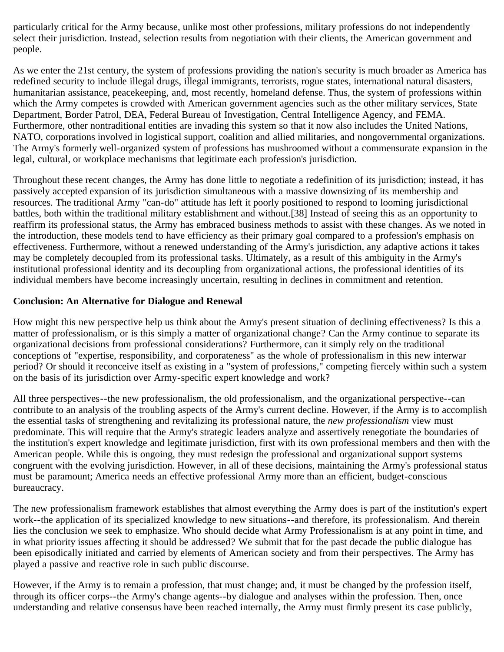particularly critical for the Army because, unlike most other professions, military professions do not independently select their jurisdiction. Instead, selection results from negotiation with their clients, the American government and people.

As we enter the 21st century, the system of professions providing the nation's security is much broader as America has redefined security to include illegal drugs, illegal immigrants, terrorists, rogue states, international natural disasters, humanitarian assistance, peacekeeping, and, most recently, homeland defense. Thus, the system of professions within which the Army competes is crowded with American government agencies such as the other military services, State Department, Border Patrol, DEA, Federal Bureau of Investigation, Central Intelligence Agency, and FEMA. Furthermore, other nontraditional entities are invading this system so that it now also includes the United Nations, NATO, corporations involved in logistical support, coalition and allied militaries, and nongovernmental organizations. The Army's formerly well-organized system of professions has mushroomed without a commensurate expansion in the legal, cultural, or workplace mechanisms that legitimate each profession's jurisdiction.

Throughout these recent changes, the Army has done little to negotiate a redefinition of its jurisdiction; instead, it has passively accepted expansion of its jurisdiction simultaneous with a massive downsizing of its membership and resources. The traditional Army "can-do" attitude has left it poorly positioned to respond to looming jurisdictional battles, both within the traditional military establishment and without.[38] Instead of seeing this as an opportunity to reaffirm its professional status, the Army has embraced business methods to assist with these changes. As we noted in the introduction, these models tend to have efficiency as their primary goal compared to a profession's emphasis on effectiveness. Furthermore, without a renewed understanding of the Army's jurisdiction, any adaptive actions it takes may be completely decoupled from its professional tasks. Ultimately, as a result of this ambiguity in the Army's institutional professional identity and its decoupling from organizational actions, the professional identities of its individual members have become increasingly uncertain, resulting in declines in commitment and retention.

#### **Conclusion: An Alternative for Dialogue and Renewal**

How might this new perspective help us think about the Army's present situation of declining effectiveness? Is this a matter of professionalism, or is this simply a matter of organizational change? Can the Army continue to separate its organizational decisions from professional considerations? Furthermore, can it simply rely on the traditional conceptions of "expertise, responsibility, and corporateness" as the whole of professionalism in this new interwar period? Or should it reconceive itself as existing in a "system of professions," competing fiercely within such a system on the basis of its jurisdiction over Army-specific expert knowledge and work?

All three perspectives--the new professionalism, the old professionalism, and the organizational perspective--can contribute to an analysis of the troubling aspects of the Army's current decline. However, if the Army is to accomplish the essential tasks of strengthening and revitalizing its professional nature, the *new professionalism* view must predominate. This will require that the Army's strategic leaders analyze and assertively renegotiate the boundaries of the institution's expert knowledge and legitimate jurisdiction, first with its own professional members and then with the American people. While this is ongoing, they must redesign the professional and organizational support systems congruent with the evolving jurisdiction. However, in all of these decisions, maintaining the Army's professional status must be paramount; America needs an effective professional Army more than an efficient, budget-conscious bureaucracy.

The new professionalism framework establishes that almost everything the Army does is part of the institution's expert work--the application of its specialized knowledge to new situations--and therefore, its professionalism. And therein lies the conclusion we seek to emphasize. Who should decide what Army Professionalism is at any point in time, and in what priority issues affecting it should be addressed? We submit that for the past decade the public dialogue has been episodically initiated and carried by elements of American society and from their perspectives. The Army has played a passive and reactive role in such public discourse.

However, if the Army is to remain a profession, that must change; and, it must be changed by the profession itself, through its officer corps--the Army's change agents--by dialogue and analyses within the profession. Then, once understanding and relative consensus have been reached internally, the Army must firmly present its case publicly,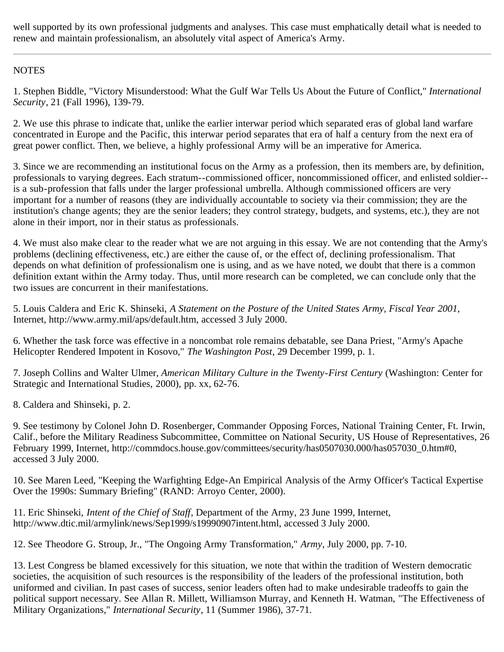well supported by its own professional judgments and analyses. This case must emphatically detail what is needed to renew and maintain professionalism, an absolutely vital aspect of America's Army.

#### **NOTES**

1. Stephen Biddle, "Victory Misunderstood: What the Gulf War Tells Us About the Future of Conflict," *International Security*, 21 (Fall 1996), 139-79.

2. We use this phrase to indicate that, unlike the earlier interwar period which separated eras of global land warfare concentrated in Europe and the Pacific, this interwar period separates that era of half a century from the next era of great power conflict. Then, we believe, a highly professional Army will be an imperative for America.

3. Since we are recommending an institutional focus on the Army as a profession, then its members are, by definition, professionals to varying degrees. Each stratum--commissioned officer, noncommissioned officer, and enlisted soldier- is a sub-profession that falls under the larger professional umbrella. Although commissioned officers are very important for a number of reasons (they are individually accountable to society via their commission; they are the institution's change agents; they are the senior leaders; they control strategy, budgets, and systems, etc.), they are not alone in their import, nor in their status as professionals.

4. We must also make clear to the reader what we are not arguing in this essay. We are not contending that the Army's problems (declining effectiveness, etc.) are either the cause of, or the effect of, declining professionalism. That depends on what definition of professionalism one is using, and as we have noted, we doubt that there is a common definition extant within the Army today. Thus, until more research can be completed, we can conclude only that the two issues are concurrent in their manifestations.

5. Louis Caldera and Eric K. Shinseki, *A Statement on the Posture of the United States Army, Fiscal Year 2001*, Internet, http://www.army.mil/aps/default.htm, accessed 3 July 2000.

6. Whether the task force was effective in a noncombat role remains debatable, see Dana Priest, "Army's Apache Helicopter Rendered Impotent in Kosovo," *The Washington Post*, 29 December 1999, p. 1.

7. Joseph Collins and Walter Ulmer, *American Military Culture in the Twenty-First Century* (Washington: Center for Strategic and International Studies, 2000), pp. xx, 62-76.

8. Caldera and Shinseki, p. 2.

9. See testimony by Colonel John D. Rosenberger, Commander Opposing Forces, National Training Center, Ft. Irwin, Calif., before the Military Readiness Subcommittee, Committee on National Security, US House of Representatives, 26 February 1999, Internet, http://commdocs.house.gov/committees/security/has0507030.000/has057030\_0.htm#0, accessed 3 July 2000.

10. See Maren Leed, "Keeping the Warfighting Edge-An Empirical Analysis of the Army Officer's Tactical Expertise Over the 1990s: Summary Briefing" (RAND: Arroyo Center, 2000).

11. Eric Shinseki, *Intent of the Chief of Staff*, Department of the Army, 23 June 1999, Internet, http://www.dtic.mil/armylink/news/Sep1999/s19990907intent.html, accessed 3 July 2000.

12. See Theodore G. Stroup, Jr., "The Ongoing Army Transformation," *Army*, July 2000, pp. 7-10.

13. Lest Congress be blamed excessively for this situation, we note that within the tradition of Western democratic societies, the acquisition of such resources is the responsibility of the leaders of the professional institution, both uniformed and civilian. In past cases of success, senior leaders often had to make undesirable tradeoffs to gain the political support necessary. See Allan R. Millett, Williamson Murray, and Kenneth H. Watman, "The Effectiveness of Military Organizations," *International Security*, 11 (Summer 1986), 37-71.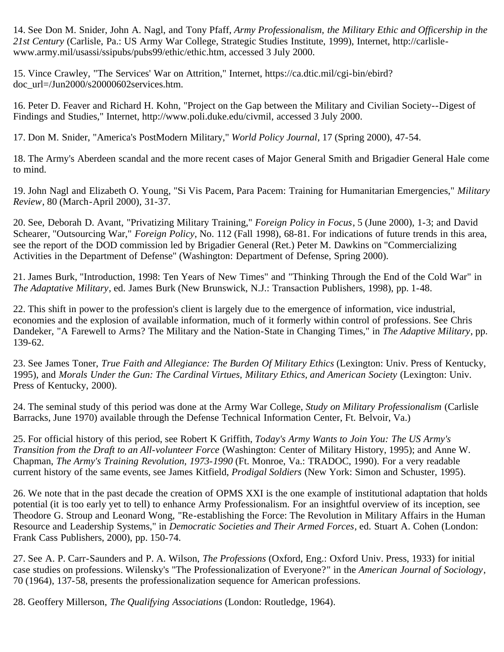14. See Don M. Snider, John A. Nagl, and Tony Pfaff, *Army Professionalism, the Military Ethic and Officership in the 21st Century* (Carlisle, Pa.: US Army War College, Strategic Studies Institute, 1999), Internet, http://carlislewww.army.mil/usassi/ssipubs/pubs99/ethic/ethic.htm, accessed 3 July 2000.

15. Vince Crawley, "The Services' War on Attrition," Internet, https://ca.dtic.mil/cgi-bin/ebird? doc\_url=/Jun2000/s20000602services.htm.

16. Peter D. Feaver and Richard H. Kohn, "Project on the Gap between the Military and Civilian Society--Digest of Findings and Studies," Internet, http://www.poli.duke.edu/civmil, accessed 3 July 2000.

17. Don M. Snider, "America's PostModern Military," *World Policy Journal*, 17 (Spring 2000), 47-54.

18. The Army's Aberdeen scandal and the more recent cases of Major General Smith and Brigadier General Hale come to mind.

19. John Nagl and Elizabeth O. Young, "Si Vis Pacem, Para Pacem: Training for Humanitarian Emergencies," *Military Review*, 80 (March-April 2000), 31-37.

20. See, Deborah D. Avant, "Privatizing Military Training," *Foreign Policy in Focus*, 5 (June 2000), 1-3; and David Schearer, "Outsourcing War," *Foreign Policy*, No. 112 (Fall 1998), 68-81. For indications of future trends in this area, see the report of the DOD commission led by Brigadier General (Ret.) Peter M. Dawkins on "Commercializing Activities in the Department of Defense" (Washington: Department of Defense, Spring 2000).

21. James Burk, "Introduction, 1998: Ten Years of New Times" and "Thinking Through the End of the Cold War" in *The Adaptative Military*, ed. James Burk (New Brunswick, N.J.: Transaction Publishers, 1998), pp. 1-48.

22. This shift in power to the profession's client is largely due to the emergence of information, vice industrial, economies and the explosion of available information, much of it formerly within control of professions. See Chris Dandeker, "A Farewell to Arms? The Military and the Nation-State in Changing Times," in *The Adaptive Military*, pp. 139-62.

23. See James Toner, *True Faith and Allegiance: The Burden Of Military Ethics* (Lexington: Univ. Press of Kentucky, 1995), and *Morals Under the Gun: The Cardinal Virtues, Military Ethics, and American Society (Lexington: Univ.* Press of Kentucky, 2000).

24. The seminal study of this period was done at the Army War College, *Study on Military Professionalism* (Carlisle Barracks, June 1970) available through the Defense Technical Information Center, Ft. Belvoir, Va.)

25. For official history of this period, see Robert K Griffith, *Today's Army Wants to Join You: The US Army's Transition from the Draft to an All-volunteer Force* (Washington: Center of Military History, 1995); and Anne W. Chapman, *The Army's Training Revolution, 1973-1990* (Ft. Monroe, Va.: TRADOC, 1990). For a very readable current history of the same events, see James Kitfield, *Prodigal Soldiers* (New York: Simon and Schuster, 1995).

26. We note that in the past decade the creation of OPMS XXI is the one example of institutional adaptation that holds potential (it is too early yet to tell) to enhance Army Professionalism. For an insightful overview of its inception, see Theodore G. Stroup and Leonard Wong, "Re-establishing the Force: The Revolution in Military Affairs in the Human Resource and Leadership Systems," in *Democratic Societies and Their Armed Forces*, ed. Stuart A. Cohen (London: Frank Cass Publishers, 2000), pp. 150-74.

27. See A. P. Carr-Saunders and P. A. Wilson, *The Professions* (Oxford, Eng.: Oxford Univ. Press, 1933) for initial case studies on professions. Wilensky's "The Professionalization of Everyone?" in the *American Journal of Sociology*, 70 (1964), 137-58, presents the professionalization sequence for American professions.

28. Geoffery Millerson, *The Qualifying Associations* (London: Routledge, 1964).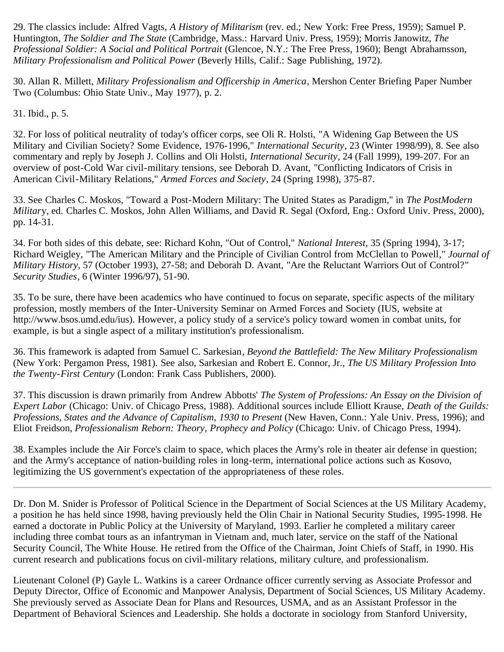29. The classics include: Alfred Vagts, *A History of Militarism* (rev. ed.; New York: Free Press, 1959); Samuel P. Huntington, *The Soldier and The State* (Cambridge, Mass.: Harvard Univ. Press, 1959); Morris Janowitz, *The Professional Soldier: A Social and Political Portrait* (Glencoe, N.Y.: The Free Press, 1960); Bengt Abrahamsson, *Military Professionalism and Political Power* (Beverly Hills, Calif.: Sage Publishing, 1972).

30. Allan R. Millett, *Military Professionalism and Officership in America*, Mershon Center Briefing Paper Number Two (Columbus: Ohio State Univ., May 1977), p. 2.

31. Ibid., p. 5.

32. For loss of political neutrality of today's officer corps, see Oli R. Holsti, "A Widening Gap Between the US Military and Civilian Society? Some Evidence, 1976-1996," *International Security*, 23 (Winter 1998/99), 8. See also commentary and reply by Joseph J. Collins and Oli Holsti, *International Security*, 24 (Fall 1999), 199-207. For an overview of post-Cold War civil-military tensions, see Deborah D. Avant, "Conflicting Indicators of Crisis in American Civil-Military Relations," *Armed Forces and Society*, 24 (Spring 1998), 375-87.

33. See Charles C. Moskos, "Toward a Post-Modern Military: The United States as Paradigm," in *The PostModern Militar*y, ed. Charles C. Moskos, John Allen Williams, and David R. Segal (Oxford, Eng.: Oxford Univ. Press, 2000), pp. 14-31.

34. For both sides of this debate, see: Richard Kohn, "Out of Control," *National Interest*, 35 (Spring 1994), 3-17; Richard Weigley, "The American Military and the Principle of Civilian Control from McClellan to Powell*,*" *Journal of Military History*, 57 (October 1993), 27-58; and Deborah D. Avant, "Are the Reluctant Warriors Out of Control?" *Security Studies*, 6 (Winter 1996/97), 51-90.

35. To be sure, there have been academics who have continued to focus on separate, specific aspects of the military profession, mostly members of the Inter-University Seminar on Armed Forces and Society (IUS, website at http://www.bsos.umd.edu/ius). However, a policy study of a service's policy toward women in combat units, for example, is but a single aspect of a military institution's professionalism.

36. This framework is adapted from Samuel C. Sarkesian*, Beyond the Battlefield: The New Military Professionalism* (New York: Pergamon Press, 1981). See also, Sarkesian and Robert E. Connor, Jr., *The US Military Profession Into the Twenty-First Century* (London: Frank Cass Publishers, 2000).

37. This discussion is drawn primarily from Andrew Abbotts' *The System of Professions: An Essay on the Division of Expert Labor* (Chicago: Univ. of Chicago Press, 1988). Additional sources include Elliott Krause, *Death of the Guilds: Professions, States and the Advance of Capitalism, 1930 to Present (New Haven, Conn.: Yale Univ. Press, 1996); and* Eliot Freidson, *Professionalism Reborn: Theory, Prophecy and Policy* (Chicago: Univ. of Chicago Press, 1994).

38. Examples include the Air Force's claim to space, which places the Army's role in theater air defense in question; and the Army's acceptance of nation-building roles in long-term, international police actions such as Kosovo, legitimizing the US government's expectation of the appropriateness of these roles.

Dr. Don M. Snider is Professor of Political Science in the Department of Social Sciences at the US Military Academy, a position he has held since 1998, having previously held the Olin Chair in National Security Studies, 1995-1998. He earned a doctorate in Public Policy at the University of Maryland, 1993. Earlier he completed a military career including three combat tours as an infantryman in Vietnam and, much later, service on the staff of the National Security Council, The White House. He retired from the Office of the Chairman, Joint Chiefs of Staff, in 1990. His current research and publications focus on civil-military relations, military culture, and professionalism.

Lieutenant Colonel (P) Gayle L. Watkins is a career Ordnance officer currently serving as Associate Professor and Deputy Director, Office of Economic and Manpower Analysis, Department of Social Sciences, US Military Academy. She previously served as Associate Dean for Plans and Resources, USMA, and as an Assistant Professor in the Department of Behavioral Sciences and Leadership. She holds a doctorate in sociology from Stanford University,